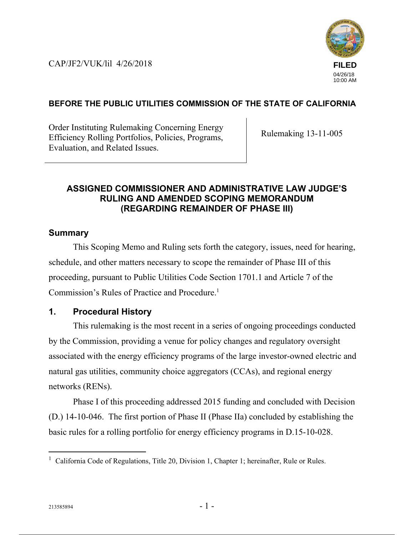CAP/JF2/VUK/lil 4/26/2018



## **BEFORE THE PUBLIC UTILITIES COMMISSION OF THE STATE OF CALIFORNIA**

Order Instituting Rulemaking Concerning Energy Efficiency Rolling Portfolios, Policies, Programs, Evaluation, and Related Issues.

Rulemaking 13-11-005

## **ASSIGNED COMMISSIONER AND ADMINISTRATIVE LAW JUDGE'S RULING AND AMENDED SCOPING MEMORANDUM (REGARDING REMAINDER OF PHASE III)**

## **Summary**

This Scoping Memo and Ruling sets forth the category, issues, need for hearing, schedule, and other matters necessary to scope the remainder of Phase III of this proceeding, pursuant to Public Utilities Code Section 1701.1 and Article 7 of the Commission's Rules of Practice and Procedure.<sup>1</sup>

## **1. Procedural History**

This rulemaking is the most recent in a series of ongoing proceedings conducted by the Commission, providing a venue for policy changes and regulatory oversight associated with the energy efficiency programs of the large investor-owned electric and natural gas utilities, community choice aggregators (CCAs), and regional energy networks (RENs).

Phase I of this proceeding addressed 2015 funding and concluded with Decision (D.) 14-10-046. The first portion of Phase II (Phase IIa) concluded by establishing the basic rules for a rolling portfolio for energy efficiency programs in D.15-10-028.

 $\overline{a}$ 

<sup>&</sup>lt;sup>1</sup> California Code of Regulations, Title 20, Division 1, Chapter 1; hereinafter, Rule or Rules.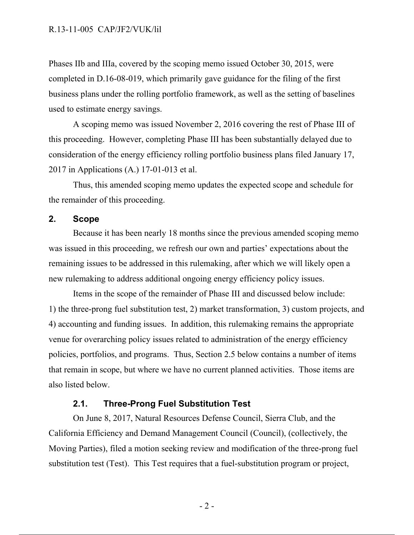Phases IIb and IIIa, covered by the scoping memo issued October 30, 2015, were completed in D.16-08-019, which primarily gave guidance for the filing of the first business plans under the rolling portfolio framework, as well as the setting of baselines used to estimate energy savings.

A scoping memo was issued November 2, 2016 covering the rest of Phase III of this proceeding. However, completing Phase III has been substantially delayed due to consideration of the energy efficiency rolling portfolio business plans filed January 17, 2017 in Applications (A.) 17-01-013 et al.

Thus, this amended scoping memo updates the expected scope and schedule for the remainder of this proceeding.

### **2. Scope**

Because it has been nearly 18 months since the previous amended scoping memo was issued in this proceeding, we refresh our own and parties' expectations about the remaining issues to be addressed in this rulemaking, after which we will likely open a new rulemaking to address additional ongoing energy efficiency policy issues.

Items in the scope of the remainder of Phase III and discussed below include: 1) the three-prong fuel substitution test, 2) market transformation, 3) custom projects, and 4) accounting and funding issues. In addition, this rulemaking remains the appropriate venue for overarching policy issues related to administration of the energy efficiency policies, portfolios, and programs. Thus, Section 2.5 below contains a number of items that remain in scope, but where we have no current planned activities. Those items are also listed below.

### **2.1. Three-Prong Fuel Substitution Test**

On June 8, 2017, Natural Resources Defense Council, Sierra Club, and the California Efficiency and Demand Management Council (Council), (collectively, the Moving Parties), filed a motion seeking review and modification of the three-prong fuel substitution test (Test). This Test requires that a fuel-substitution program or project,

 $-2-$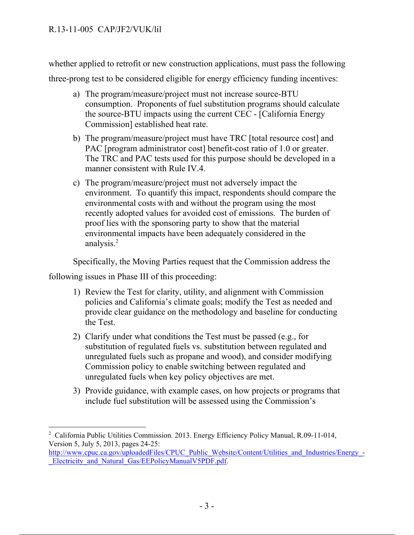whether applied to retrofit or new construction applications, must pass the following three-prong test to be considered eligible for energy efficiency funding incentives:

- a) The program/measure/project must not increase source-BTU consumption. Proponents of fuel substitution programs should calculate the source-BTU impacts using the current CEC - [California Energy Commission] established heat rate.
- b) The program/measure/project must have TRC [total resource cost] and PAC [program administrator cost] benefit-cost ratio of 1.0 or greater. The TRC and PAC tests used for this purpose should be developed in a manner consistent with Rule IV.4.
- c) The program/measure/project must not adversely impact the environment. To quantify this impact, respondents should compare the environmental costs with and without the program using the most recently adopted values for avoided cost of emissions. The burden of proof lies with the sponsoring party to show that the material environmental impacts have been adequately considered in the analysis.2

Specifically, the Moving Parties request that the Commission address the

following issues in Phase III of this proceeding:

- 1) Review the Test for clarity, utility, and alignment with Commission policies and California's climate goals; modify the Test as needed and provide clear guidance on the methodology and baseline for conducting the Test.
- 2) Clarify under what conditions the Test must be passed (e.g., for substitution of regulated fuels vs. substitution between regulated and unregulated fuels such as propane and wood), and consider modifying Commission policy to enable switching between regulated and unregulated fuels when key policy objectives are met.
- 3) Provide guidance, with example cases, on how projects or programs that include fuel substitution will be assessed using the Commission's

 $\overline{a}$ <sup>2</sup> California Public Utilities Commission. 2013. Energy Efficiency Policy Manual, R.09-11-014, Version 5, July 5, 2013, pages 24-25:

http://www.cpuc.ca.gov/uploadedFiles/CPUC\_Public\_Website/Content/Utilities\_and\_Industries/Energy\_-Electricity\_and\_Natural\_Gas/EEPolicyManualV5PDF.pdf.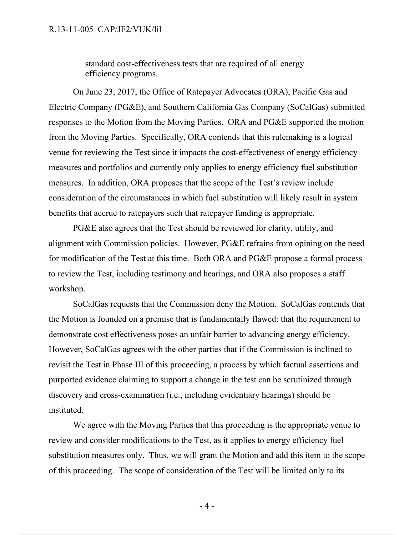#### R.13-11-005 CAP/JF2/VUK/lil

standard cost-effectiveness tests that are required of all energy efficiency programs.

On June 23, 2017, the Office of Ratepayer Advocates (ORA), Pacific Gas and Electric Company (PG&E), and Southern California Gas Company (SoCalGas) submitted responses to the Motion from the Moving Parties. ORA and PG&E supported the motion from the Moving Parties. Specifically, ORA contends that this rulemaking is a logical venue for reviewing the Test since it impacts the cost-effectiveness of energy efficiency measures and portfolios and currently only applies to energy efficiency fuel substitution measures. In addition, ORA proposes that the scope of the Test's review include consideration of the circumstances in which fuel substitution will likely result in system benefits that accrue to ratepayers such that ratepayer funding is appropriate.

PG&E also agrees that the Test should be reviewed for clarity, utility, and alignment with Commission policies. However, PG&E refrains from opining on the need for modification of the Test at this time. Both ORA and PG&E propose a formal process to review the Test, including testimony and hearings, and ORA also proposes a staff workshop.

SoCalGas requests that the Commission deny the Motion. SoCalGas contends that the Motion is founded on a premise that is fundamentally flawed: that the requirement to demonstrate cost effectiveness poses an unfair barrier to advancing energy efficiency. However, SoCalGas agrees with the other parties that if the Commission is inclined to revisit the Test in Phase III of this proceeding, a process by which factual assertions and purported evidence claiming to support a change in the test can be scrutinized through discovery and cross-examination (i.e., including evidentiary hearings) should be instituted.

We agree with the Moving Parties that this proceeding is the appropriate venue to review and consider modifications to the Test, as it applies to energy efficiency fuel substitution measures only. Thus, we will grant the Motion and add this item to the scope of this proceeding. The scope of consideration of the Test will be limited only to its

 $-4-$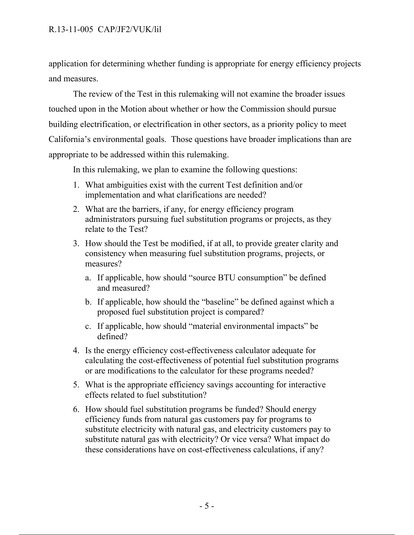### R.13-11-005 CAP/JF2/VUK/lil

application for determining whether funding is appropriate for energy efficiency projects and measures.

The review of the Test in this rulemaking will not examine the broader issues touched upon in the Motion about whether or how the Commission should pursue building electrification, or electrification in other sectors, as a priority policy to meet California's environmental goals. Those questions have broader implications than are appropriate to be addressed within this rulemaking.

In this rulemaking, we plan to examine the following questions:

- 1. What ambiguities exist with the current Test definition and/or implementation and what clarifications are needed?
- 2. What are the barriers, if any, for energy efficiency program administrators pursuing fuel substitution programs or projects, as they relate to the Test?
- 3. How should the Test be modified, if at all, to provide greater clarity and consistency when measuring fuel substitution programs, projects, or measures?
	- a. If applicable, how should "source BTU consumption" be defined and measured?
	- b. If applicable, how should the "baseline" be defined against which a proposed fuel substitution project is compared?
	- c. If applicable, how should "material environmental impacts" be defined?
- 4. Is the energy efficiency cost-effectiveness calculator adequate for calculating the cost-effectiveness of potential fuel substitution programs or are modifications to the calculator for these programs needed?
- 5. What is the appropriate efficiency savings accounting for interactive effects related to fuel substitution?
- 6. How should fuel substitution programs be funded? Should energy efficiency funds from natural gas customers pay for programs to substitute electricity with natural gas, and electricity customers pay to substitute natural gas with electricity? Or vice versa? What impact do these considerations have on cost-effectiveness calculations, if any?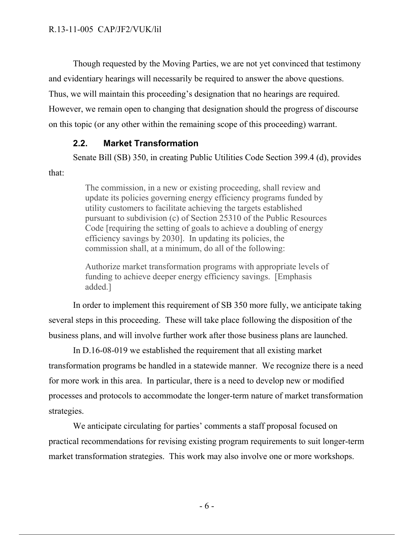Though requested by the Moving Parties, we are not yet convinced that testimony and evidentiary hearings will necessarily be required to answer the above questions. Thus, we will maintain this proceeding's designation that no hearings are required. However, we remain open to changing that designation should the progress of discourse on this topic (or any other within the remaining scope of this proceeding) warrant.

## **2.2. Market Transformation**

Senate Bill (SB) 350, in creating Public Utilities Code Section 399.4 (d), provides

that:

The commission, in a new or existing proceeding, shall review and update its policies governing energy efficiency programs funded by utility customers to facilitate achieving the targets established pursuant to subdivision (c) of Section 25310 of the Public Resources Code [requiring the setting of goals to achieve a doubling of energy efficiency savings by 2030]. In updating its policies, the commission shall, at a minimum, do all of the following:

Authorize market transformation programs with appropriate levels of funding to achieve deeper energy efficiency savings. [Emphasis added.]

In order to implement this requirement of SB 350 more fully, we anticipate taking several steps in this proceeding. These will take place following the disposition of the business plans, and will involve further work after those business plans are launched.

In D.16-08-019 we established the requirement that all existing market transformation programs be handled in a statewide manner. We recognize there is a need for more work in this area. In particular, there is a need to develop new or modified processes and protocols to accommodate the longer-term nature of market transformation strategies.

We anticipate circulating for parties' comments a staff proposal focused on practical recommendations for revising existing program requirements to suit longer-term market transformation strategies. This work may also involve one or more workshops.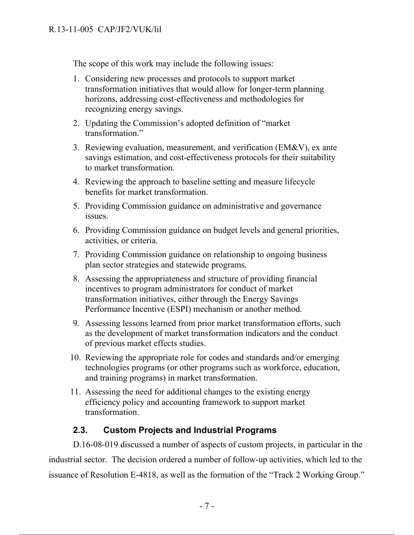The scope of this work may include the following issues:

- 1. Considering new processes and protocols to support market transformation initiatives that would allow for longer-term planning horizons, addressing cost-effectiveness and methodologies for recognizing energy savings.
- 2. Updating the Commission's adopted definition of "market transformation."
- 3. Reviewing evaluation, measurement, and verification (EM&V), ex ante savings estimation, and cost-effectiveness protocols for their suitability to market transformation.
- 4. Reviewing the approach to baseline setting and measure lifecycle benefits for market transformation.
- 5. Providing Commission guidance on administrative and governance issues.
- 6. Providing Commission guidance on budget levels and general priorities, activities, or criteria.
- 7. Providing Commission guidance on relationship to ongoing business plan sector strategies and statewide programs.
- 8. Assessing the appropriateness and structure of providing financial incentives to program administrators for conduct of market transformation initiatives, either through the Energy Savings Performance Incentive (ESPI) mechanism or another method.
- 9. Assessing lessons learned from prior market transformation efforts, such as the development of market transformation indicators and the conduct of previous market effects studies.
- 10. Reviewing the appropriate role for codes and standards and/or emerging technologies programs (or other programs such as workforce, education, and training programs) in market transformation.
- 11. Assessing the need for additional changes to the existing energy efficiency policy and accounting framework to support market transformation.

# **2.3. Custom Projects and Industrial Programs**

D.16-08-019 discussed a number of aspects of custom projects, in particular in the industrial sector. The decision ordered a number of follow-up activities, which led to the issuance of Resolution E-4818, as well as the formation of the "Track 2 Working Group."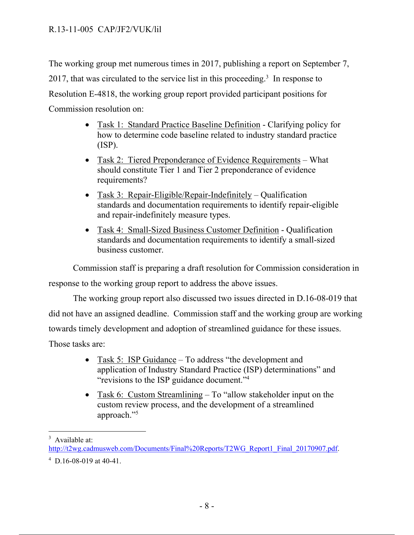The working group met numerous times in 2017, publishing a report on September 7, 2017, that was circulated to the service list in this proceeding.<sup>3</sup> In response to Resolution E-4818, the working group report provided participant positions for Commission resolution on:

- Task 1: Standard Practice Baseline Definition Clarifying policy for how to determine code baseline related to industry standard practice (ISP).
- Task 2: Tiered Preponderance of Evidence Requirements What should constitute Tier 1 and Tier 2 preponderance of evidence requirements?
- Task 3: Repair-Eligible/Repair-Indefinitely Qualification standards and documentation requirements to identify repair-eligible and repair-indefinitely measure types.
- Task 4: Small-Sized Business Customer Definition Qualification standards and documentation requirements to identify a small-sized business customer.

Commission staff is preparing a draft resolution for Commission consideration in

response to the working group report to address the above issues.

The working group report also discussed two issues directed in D.16-08-019 that

did not have an assigned deadline. Commission staff and the working group are working

towards timely development and adoption of streamlined guidance for these issues.

Those tasks are:

- Task 5: ISP Guidance To address "the development and application of Industry Standard Practice (ISP) determinations" and "revisions to the ISP guidance document."4
- Task 6: Custom Streamlining To "allow stakeholder input on the custom review process, and the development of a streamlined approach."5

 <sup>3</sup> Available at:

http://t2wg.cadmusweb.com/Documents/Final%20Reports/T2WG\_Report1\_Final\_20170907.pdf.

 $4\,$  D.16-08-019 at 40-41.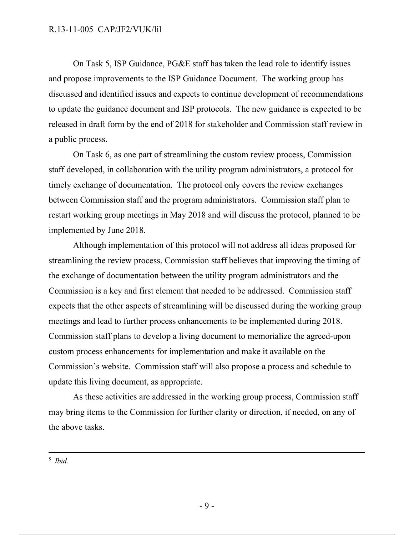On Task 5, ISP Guidance, PG&E staff has taken the lead role to identify issues and propose improvements to the ISP Guidance Document. The working group has discussed and identified issues and expects to continue development of recommendations to update the guidance document and ISP protocols. The new guidance is expected to be released in draft form by the end of 2018 for stakeholder and Commission staff review in a public process.

On Task 6, as one part of streamlining the custom review process, Commission staff developed, in collaboration with the utility program administrators, a protocol for timely exchange of documentation. The protocol only covers the review exchanges between Commission staff and the program administrators. Commission staff plan to restart working group meetings in May 2018 and will discuss the protocol, planned to be implemented by June 2018.

Although implementation of this protocol will not address all ideas proposed for streamlining the review process, Commission staff believes that improving the timing of the exchange of documentation between the utility program administrators and the Commission is a key and first element that needed to be addressed. Commission staff expects that the other aspects of streamlining will be discussed during the working group meetings and lead to further process enhancements to be implemented during 2018. Commission staff plans to develop a living document to memorialize the agreed-upon custom process enhancements for implementation and make it available on the Commission's website. Commission staff will also propose a process and schedule to update this living document, as appropriate.

As these activities are addressed in the working group process, Commission staff may bring items to the Commission for further clarity or direction, if needed, on any of the above tasks.

 $\frac{1}{5}$ <sup>5</sup> *Ibid.*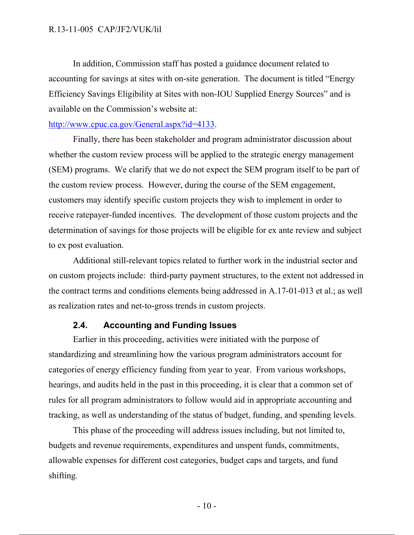In addition, Commission staff has posted a guidance document related to accounting for savings at sites with on-site generation. The document is titled "Energy Efficiency Savings Eligibility at Sites with non-IOU Supplied Energy Sources" and is available on the Commission's website at:

#### http://www.cpuc.ca.gov/General.aspx?id=4133.

Finally, there has been stakeholder and program administrator discussion about whether the custom review process will be applied to the strategic energy management (SEM) programs. We clarify that we do not expect the SEM program itself to be part of the custom review process. However, during the course of the SEM engagement, customers may identify specific custom projects they wish to implement in order to receive ratepayer-funded incentives. The development of those custom projects and the determination of savings for those projects will be eligible for ex ante review and subject to ex post evaluation.

Additional still-relevant topics related to further work in the industrial sector and on custom projects include: third-party payment structures, to the extent not addressed in the contract terms and conditions elements being addressed in A.17-01-013 et al.; as well as realization rates and net-to-gross trends in custom projects.

### **2.4. Accounting and Funding Issues**

Earlier in this proceeding, activities were initiated with the purpose of standardizing and streamlining how the various program administrators account for categories of energy efficiency funding from year to year. From various workshops, hearings, and audits held in the past in this proceeding, it is clear that a common set of rules for all program administrators to follow would aid in appropriate accounting and tracking, as well as understanding of the status of budget, funding, and spending levels.

This phase of the proceeding will address issues including, but not limited to, budgets and revenue requirements, expenditures and unspent funds, commitments, allowable expenses for different cost categories, budget caps and targets, and fund shifting.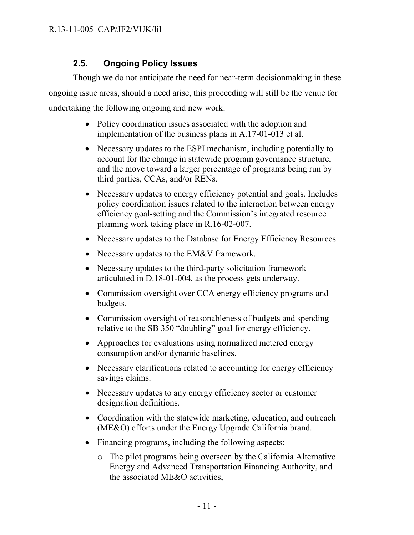# **2.5. Ongoing Policy Issues**

Though we do not anticipate the need for near-term decisionmaking in these ongoing issue areas, should a need arise, this proceeding will still be the venue for undertaking the following ongoing and new work:

- Policy coordination issues associated with the adoption and implementation of the business plans in A.17-01-013 et al.
- Necessary updates to the ESPI mechanism, including potentially to account for the change in statewide program governance structure, and the move toward a larger percentage of programs being run by third parties, CCAs, and/or RENs.
- Necessary updates to energy efficiency potential and goals. Includes policy coordination issues related to the interaction between energy efficiency goal-setting and the Commission's integrated resource planning work taking place in R.16-02-007.
- Necessary updates to the Database for Energy Efficiency Resources.
- Necessary updates to the EM&V framework.
- Necessary updates to the third-party solicitation framework articulated in D.18-01-004, as the process gets underway.
- Commission oversight over CCA energy efficiency programs and budgets.
- Commission oversight of reasonableness of budgets and spending relative to the SB 350 "doubling" goal for energy efficiency.
- Approaches for evaluations using normalized metered energy consumption and/or dynamic baselines.
- Necessary clarifications related to accounting for energy efficiency savings claims.
- Necessary updates to any energy efficiency sector or customer designation definitions.
- Coordination with the statewide marketing, education, and outreach (ME&O) efforts under the Energy Upgrade California brand.
- Financing programs, including the following aspects:
	- o The pilot programs being overseen by the California Alternative Energy and Advanced Transportation Financing Authority, and the associated ME&O activities,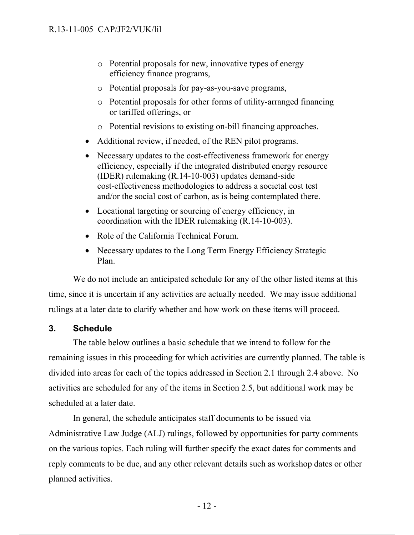- o Potential proposals for new, innovative types of energy efficiency finance programs,
- o Potential proposals for pay-as-you-save programs,
- o Potential proposals for other forms of utility-arranged financing or tariffed offerings, or
- o Potential revisions to existing on-bill financing approaches.
- Additional review, if needed, of the REN pilot programs.
- Necessary updates to the cost-effectiveness framework for energy efficiency, especially if the integrated distributed energy resource (IDER) rulemaking (R.14-10-003) updates demand-side cost-effectiveness methodologies to address a societal cost test and/or the social cost of carbon, as is being contemplated there.
- Locational targeting or sourcing of energy efficiency, in coordination with the IDER rulemaking (R.14-10-003).
- Role of the California Technical Forum.
- Necessary updates to the Long Term Energy Efficiency Strategic Plan.

We do not include an anticipated schedule for any of the other listed items at this time, since it is uncertain if any activities are actually needed. We may issue additional rulings at a later date to clarify whether and how work on these items will proceed.

## **3. Schedule**

The table below outlines a basic schedule that we intend to follow for the remaining issues in this proceeding for which activities are currently planned. The table is divided into areas for each of the topics addressed in Section 2.1 through 2.4 above. No activities are scheduled for any of the items in Section 2.5, but additional work may be scheduled at a later date.

In general, the schedule anticipates staff documents to be issued via Administrative Law Judge (ALJ) rulings, followed by opportunities for party comments on the various topics. Each ruling will further specify the exact dates for comments and reply comments to be due, and any other relevant details such as workshop dates or other planned activities.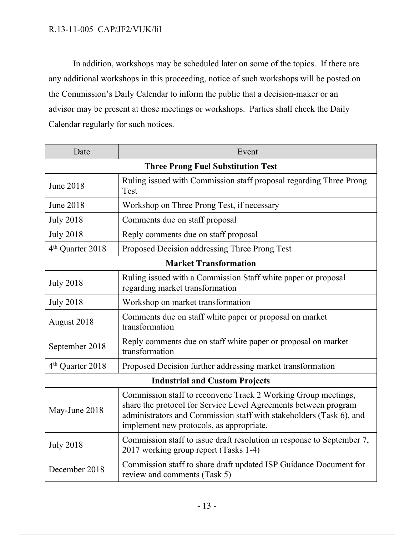## R.13-11-005 CAP/JF2/VUK/lil

In addition, workshops may be scheduled later on some of the topics. If there are any additional workshops in this proceeding, notice of such workshops will be posted on the Commission's Daily Calendar to inform the public that a decision-maker or an advisor may be present at those meetings or workshops. Parties shall check the Daily Calendar regularly for such notices.

| Date                                      | Event                                                                                                                                                                                                                                               |
|-------------------------------------------|-----------------------------------------------------------------------------------------------------------------------------------------------------------------------------------------------------------------------------------------------------|
| <b>Three Prong Fuel Substitution Test</b> |                                                                                                                                                                                                                                                     |
| <b>June 2018</b>                          | Ruling issued with Commission staff proposal regarding Three Prong<br>Test                                                                                                                                                                          |
| <b>June 2018</b>                          | Workshop on Three Prong Test, if necessary                                                                                                                                                                                                          |
| <b>July 2018</b>                          | Comments due on staff proposal                                                                                                                                                                                                                      |
| <b>July 2018</b>                          | Reply comments due on staff proposal                                                                                                                                                                                                                |
| 4 <sup>th</sup> Quarter 2018              | Proposed Decision addressing Three Prong Test                                                                                                                                                                                                       |
| <b>Market Transformation</b>              |                                                                                                                                                                                                                                                     |
| <b>July 2018</b>                          | Ruling issued with a Commission Staff white paper or proposal<br>regarding market transformation                                                                                                                                                    |
| <b>July 2018</b>                          | Workshop on market transformation                                                                                                                                                                                                                   |
| August 2018                               | Comments due on staff white paper or proposal on market<br>transformation                                                                                                                                                                           |
| September 2018                            | Reply comments due on staff white paper or proposal on market<br>transformation                                                                                                                                                                     |
| 4 <sup>th</sup> Quarter 2018              | Proposed Decision further addressing market transformation                                                                                                                                                                                          |
| <b>Industrial and Custom Projects</b>     |                                                                                                                                                                                                                                                     |
| May-June 2018                             | Commission staff to reconvene Track 2 Working Group meetings,<br>share the protocol for Service Level Agreements between program<br>administrators and Commission staff with stakeholders (Task 6), and<br>implement new protocols, as appropriate. |
| <b>July 2018</b>                          | Commission staff to issue draft resolution in response to September 7,<br>2017 working group report (Tasks 1-4)                                                                                                                                     |
| December 2018                             | Commission staff to share draft updated ISP Guidance Document for<br>review and comments (Task 5)                                                                                                                                                   |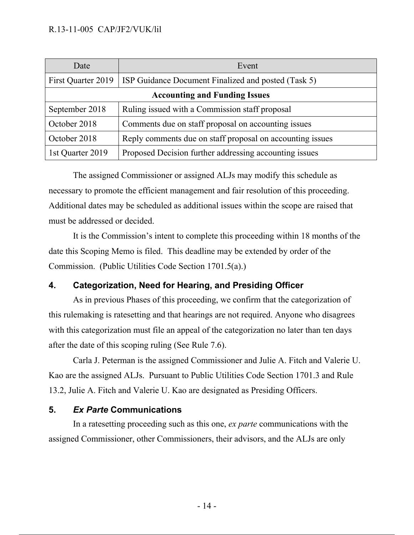| Date                                 | Event                                                      |  |
|--------------------------------------|------------------------------------------------------------|--|
| First Quarter 2019                   | <b>ISP Guidance Document Finalized and posted (Task 5)</b> |  |
| <b>Accounting and Funding Issues</b> |                                                            |  |
| September 2018                       | Ruling issued with a Commission staff proposal             |  |
| October 2018                         | Comments due on staff proposal on accounting issues        |  |
| October 2018                         | Reply comments due on staff proposal on accounting issues  |  |
| 1st Quarter 2019                     | Proposed Decision further addressing accounting issues     |  |

The assigned Commissioner or assigned ALJs may modify this schedule as necessary to promote the efficient management and fair resolution of this proceeding. Additional dates may be scheduled as additional issues within the scope are raised that must be addressed or decided.

It is the Commission's intent to complete this proceeding within 18 months of the date this Scoping Memo is filed. This deadline may be extended by order of the Commission. (Public Utilities Code Section 1701.5(a).)

# **4. Categorization, Need for Hearing, and Presiding Officer**

As in previous Phases of this proceeding, we confirm that the categorization of this rulemaking is ratesetting and that hearings are not required. Anyone who disagrees with this categorization must file an appeal of the categorization no later than ten days after the date of this scoping ruling (See Rule 7.6).

Carla J. Peterman is the assigned Commissioner and Julie A. Fitch and Valerie U. Kao are the assigned ALJs. Pursuant to Public Utilities Code Section 1701.3 and Rule 13.2, Julie A. Fitch and Valerie U. Kao are designated as Presiding Officers.

## **5.** *Ex Parte* **Communications**

In a ratesetting proceeding such as this one, *ex parte* communications with the assigned Commissioner, other Commissioners, their advisors, and the ALJs are only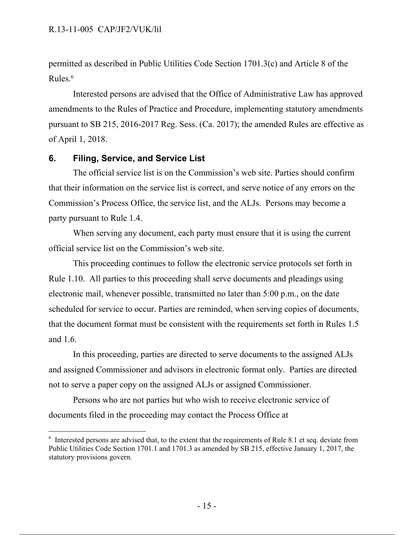permitted as described in Public Utilities Code Section 1701.3(c) and Article 8 of the Rules.<sup>6</sup>

Interested persons are advised that the Office of Administrative Law has approved amendments to the Rules of Practice and Procedure, implementing statutory amendments pursuant to SB 215, 2016-2017 Reg. Sess. (Ca. 2017); the amended Rules are effective as of April 1, 2018.

### **6. Filing, Service, and Service List**

The official service list is on the Commission's web site. Parties should confirm that their information on the service list is correct, and serve notice of any errors on the Commission's Process Office, the service list, and the ALJs. Persons may become a party pursuant to Rule 1.4.

When serving any document, each party must ensure that it is using the current official service list on the Commission's web site.

This proceeding continues to follow the electronic service protocols set forth in Rule 1.10. All parties to this proceeding shall serve documents and pleadings using electronic mail, whenever possible, transmitted no later than 5:00 p.m., on the date scheduled for service to occur. Parties are reminded, when serving copies of documents, that the document format must be consistent with the requirements set forth in Rules 1.5 and 1.6.

In this proceeding, parties are directed to serve documents to the assigned ALJs and assigned Commissioner and advisors in electronic format only. Parties are directed not to serve a paper copy on the assigned ALJs or assigned Commissioner.

Persons who are not parties but who wish to receive electronic service of documents filed in the proceeding may contact the Process Office at

<sup>&</sup>lt;sup>6</sup> Interested persons are advised that, to the extent that the requirements of Rule 8.1 et seq. deviate from Public Utilities Code Section 1701.1 and 1701.3 as amended by SB 215, effective January 1, 2017, the statutory provisions govern.